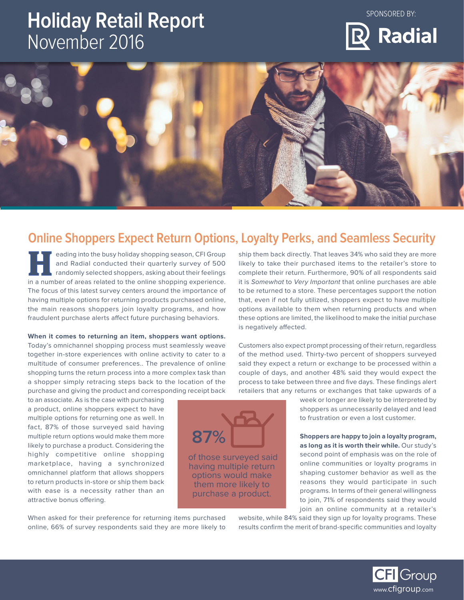## **Holiday Retail Report** November 2016

SPONSORED BY:





## **Online Shoppers Expect Return Options, Loyalty Perks, and Seamless Security**

of those surveyed said having multiple return options would make them more likely to purchase a product.

**87%**

eading into the busy holiday shopping season, CFI Group and Radial conducted their quarterly survey of 500 randomly selected shoppers, asking about their feelings **in a number of areas related to the online shopping season, CFI Group and Radial conducted their quarterly survey of 500 randomly selected shoppers, asking about their feelings in a number of areas related to the online s** The focus of this latest survey centers around the importance of having multiple options for returning products purchased online, the main reasons shoppers join loyalty programs, and how fraudulent purchase alerts affect future purchasing behaviors.

**When it comes to returning an item, shoppers want options.** Today's omnichannel shopping process must seamlessly weave together in-store experiences with online activity to cater to a multitude of consumer preferences.. The prevalence of online shopping turns the return process into a more complex task than a shopper simply retracing steps back to the location of the purchase and giving the product and corresponding receipt back

to an associate. As is the case with purchasing a product, online shoppers expect to have multiple options for returning one as well. In fact, 87% of those surveyed said having multiple return options would make them more likely to purchase a product. Considering the highly competitive online shopping marketplace, having a synchronized omnichannel platform that allows shoppers to return products in-store or ship them back with ease is a necessity rather than an attractive bonus offering.

When asked for their preference for returning items purchased online, 66% of survey respondents said they are more likely to ship them back directly. That leaves 34% who said they are more likely to take their purchased items to the retailer's store to complete their return. Furthermore, 90% of all respondents said it is Somewhat to Very Important that online purchases are able to be returned to a store. These percentages support the notion that, even if not fully utilized, shoppers expect to have multiple options available to them when returning products and when these options are limited, the likelihood to make the initial purchase is negatively affected.

Customers also expect prompt processing of their return, regardless of the method used. Thirty-two percent of shoppers surveyed said they expect a return or exchange to be processed within a couple of days, and another 48% said they would expect the process to take between three and five days. These findings alert retailers that any returns or exchanges that take upwards of a

> week or longer are likely to be interpreted by shoppers as unnecessarily delayed and lead to frustration or even a lost customer.

**Shoppers are happy to join a loyalty program, as long as it is worth their while.** Our study's second point of emphasis was on the role of online communities or loyalty programs in shaping customer behavior as well as the reasons they would participate in such programs. In terms of their general willingness to join, 71% of respondents said they would join an online community at a retailer's

website, while 84% said they sign up for loyalty programs. These results confirm the merit of brand-specific communities and loyalty